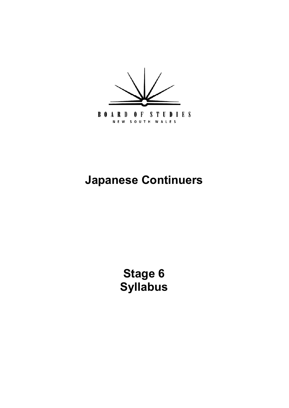

# **Japanese Continuers**

**[Stage 6](#page-4-0) Syllabus**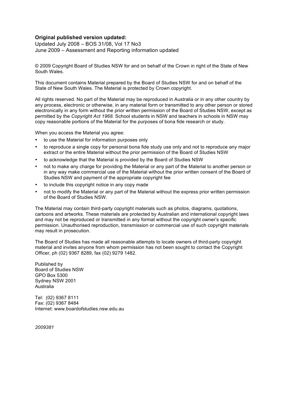#### **Original published version updated:**

 June 2009 – Assessment and Reporting information updated Updated July 2008 – BOS 31/08, Vol 17 No3

 © 2009 Copyright Board of Studies NSW for and on behalf of the Crown in right of the State of New South Wales.

South Wales.<br>This document contains Material prepared by the Board of Studies NSW for and on behalf of the State of New South Wales. The Material is protected by Crown copyright.

 any process, electronic or otherwise, in any material form or transmitted to any other person or stored electronically in any form without the prior written permission of the Board of Studies NSW, except as  permitted by the *Copyright Act 1968*. School students in NSW and teachers in schools in NSW may copy reasonable portions of the Material for the purposes of bona fide research or study. All rights reserved. No part of the Material may be reproduced in Australia or in any other country by

When you access the Material you agree:

- • to use the Material for information purposes only
- extract or the entire Material without the prior permission of the Board of Studies NSW to reproduce a single copy for personal bona fide study use only and not to reproduce any major
- • to acknowledge that the Material is provided by the Board of Studies NSW
- not to make any charge for providing the Material or any part of the Material to another person or in any way make commercial use of the Material without the prior written consent of the Board of Studies NSW and payment of the appropriate copyright fee
- • to include this copyright notice in any copy made
- not to modify the Material or any part of the Material without the express prior written permission of the Board of Studies NSW.

 The Material may contain third-party copyright materials such as photos, diagrams, quotations, cartoons and artworks. These materials are protected by Australian and international copyright laws and may not be reproduced or transmitted in any format without the copyright owner's specific permission. Unauthorised reproduction, transmission or commercial use of such copyright materials may result in prosecution.

 The Board of Studies has made all reasonable attempts to locate owners of third-party copyright material and invites anyone from whom permission has not been sought to contact the Copyright Officer, ph (02) 9367 8289, fax (02) 9279 1482.

Published by Published by<br>Board of Studies NSW GPO Box 5300 GPO Box 5300<br>Sydney NSW 2001 Australia

Tel: (02) 9367 8111 Australia<br>Tel: (02) 9367 8111<br>Fax: (02) 9367 8484 Internet: www.boardofstudies.nsw.edu.au

*2009381*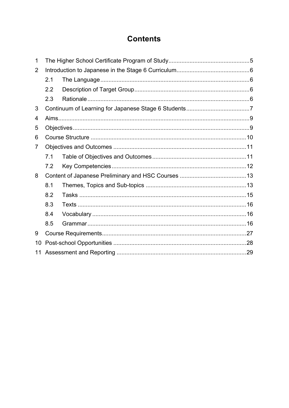# **Contents**

| 1              |     |  |  |
|----------------|-----|--|--|
| $\overline{2}$ |     |  |  |
|                | 2.1 |  |  |
|                | 2.2 |  |  |
|                | 2.3 |  |  |
| 3              |     |  |  |
| 4              |     |  |  |
| 5              |     |  |  |
| 6              |     |  |  |
| 7              |     |  |  |
|                | 7.1 |  |  |
|                | 7.2 |  |  |
| 8              |     |  |  |
|                | 8.1 |  |  |
|                | 8.2 |  |  |
|                | 8.3 |  |  |
|                | 8.4 |  |  |
|                | 8.5 |  |  |
| 9              |     |  |  |
| 10             |     |  |  |
| 11             |     |  |  |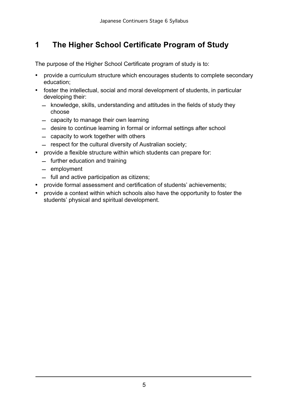# <span id="page-3-0"></span>**1 The Higher School Certificate Program of Study**

The purpose of the Higher School Certificate program of study is to:

- provide a curriculum structure which encourages students to complete secondary education;
- foster the intellectual, social and moral development of students, in particular developing their:
	- knowledge, skills, understanding and attitudes in the fields of study they choose
	- capacity to manage their own learning
	- desire to continue learning in formal or informal settings after school
	- $-$  capacity to work together with others
	- $-$  respect for the cultural diversity of Australian society;
- provide a flexible structure within which students can prepare for:
	- $-$  further education and training
	- $-$  employment
	- $-$  full and active participation as citizens;
- provide formal assessment and certification of students' achievements;
- provide a context within which schools also have the opportunity to foster the students' physical and spiritual development.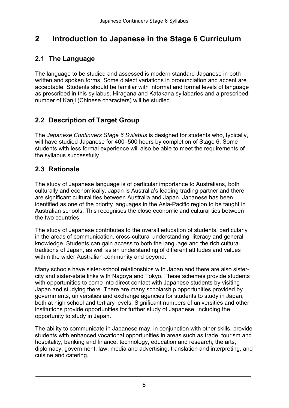# <span id="page-4-0"></span>**2 Introduction to Japanese in the Stage 6 Curriculum**

#### **2.1 The Language**

The language to be studied and assessed is modern standard Japanese in both written and spoken forms. Some dialect variations in pronunciation and accent are acceptable. Students should be familiar with informal and formal levels of language as prescribed in this syllabus. Hiragana and Katakana syllabaries and a prescribed number of Kanji (Chinese characters) will be studied.

#### **2.2 Description of Target Group**

The *Japanese Continuers Stage 6 Syllabus* is designed for students who, typically, will have studied Japanese for 400–500 hours by completion of Stage 6. Some students with less formal experience will also be able to meet the requirements of the syllabus successfully.

#### **2.3 Rationale**

The study of Japanese language is of particular importance to Australians, both culturally and economically. Japan is Australia's leading trading partner and there are significant cultural ties between Australia and Japan. Japanese has been identified as one of the priority languages in the Asia-Pacific region to be taught in Australian schools. This recognises the close economic and cultural ties between the two countries.

The study of Japanese contributes to the overall education of students, particularly in the areas of communication, cross-cultural understanding, literacy and general knowledge. Students can gain access to both the language and the rich cultural traditions of Japan, as well as an understanding of different attitudes and values within the wider Australian community and beyond.

Many schools have sister-school relationships with Japan and there are also sistercity and sister-state links with Nagoya and Tokyo. These schemes provide students with opportunities to come into direct contact with Japanese students by visiting Japan and studying there. There are many scholarship opportunities provided by governments, universities and exchange agencies for students to study in Japan, both at high school and tertiary levels. Significant numbers of universities and other institutions provide opportunities for further study of Japanese, including the opportunity to study in Japan.

The ability to communicate in Japanese may, in conjunction with other skills, provide students with enhanced vocational opportunities in areas such as trade, tourism and hospitality, banking and finance, technology, education and research, the arts, diplomacy, government, law, media and advertising, translation and interpreting, and cuisine and catering.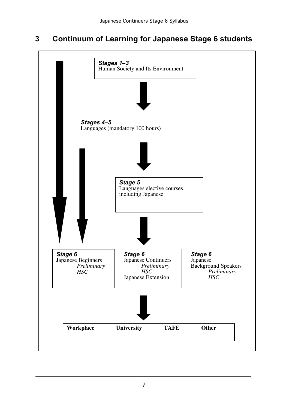# <span id="page-5-0"></span>**3 Continuum of Learning for Japanese Stage 6 students**

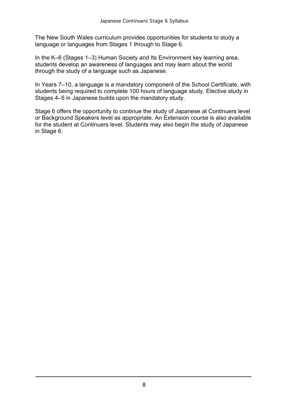The New South Wales curriculum provides opportunities for students to study a language or languages from Stages 1 through to Stage 6.

In the K–6 (Stages 1–3) Human Society and Its Environment key learning area, students develop an awareness of languages and may learn about the world through the study of a language such as Japanese.

In Years 7–10, a language is a mandatory component of the School Certificate, with students being required to complete 100 hours of language study. Elective study in Stages 4–5 in Japanese builds upon the mandatory study.

Stage 6 offers the opportunity to continue the study of Japanese at Continuers level or Background Speakers level as appropriate. An Extension course is also available for the student at Continuers level. Students may also begin the study of Japanese in Stage 6.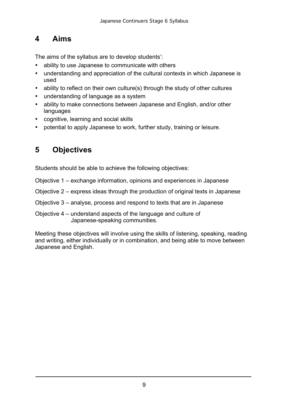# <span id="page-7-0"></span>**4 Aims**

The aims of the syllabus are to develop students':

- ability to use Japanese to communicate with others
- understanding and appreciation of the cultural contexts in which Japanese is used
- ability to reflect on their own culture(s) through the study of other cultures
- understanding of language as a system
- ability to make connections between Japanese and English, and/or other languages
- • cognitive, learning and social skills
- potential to apply Japanese to work, further study, training or leisure.

# **5 Objectives**

Students should be able to achieve the following objectives:

- Objective 1 exchange information, opinions and experiences in Japanese
- Objective 2 express ideas through the production of original texts in Japanese
- Objective 3 analyse, process and respond to texts that are in Japanese
- Objective 4 understand aspects of the language and culture of Japanese-speaking communities.

Meeting these objectives will involve using the skills of listening, speaking, reading and writing, either individually or in combination, and being able to move between Japanese and English.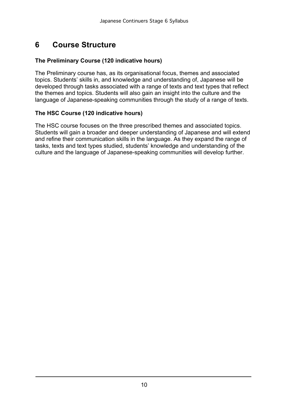#### <span id="page-8-0"></span>**6 Course Structure**

#### **The Preliminary Course (120 indicative hours)**

The Preliminary course has, as its organisational focus, themes and associated topics. Students' skills in, and knowledge and understanding of, Japanese will be developed through tasks associated with a range of texts and text types that reflect the themes and topics. Students will also gain an insight into the culture and the language of Japanese-speaking communities through the study of a range of texts.

#### **The HSC Course (120 indicative hours)**

The HSC course focuses on the three prescribed themes and associated topics. Students will gain a broader and deeper understanding of Japanese and will extend and refine their communication skills in the language. As they expand the range of tasks, texts and text types studied, students' knowledge and understanding of the culture and the language of Japanese-speaking communities will develop further.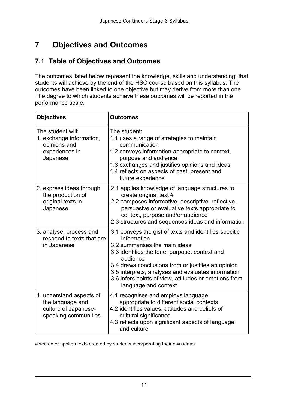# **7 Objectives and Outcomes**

#### **7.1 Table of Objectives and Outcomes**

The outcomes listed below represent the knowledge, skills and understanding, that students will achieve by the end of the HSC course based on this syllabus. The outcomes have been linked to one objective but may derive from more than one. The degree to which students achieve these outcomes will be reported in the performance scale.

| <b>Objectives</b>                                                                            | <b>Outcomes</b>                                                                                                                                                                                                                                                                                                                                                 |
|----------------------------------------------------------------------------------------------|-----------------------------------------------------------------------------------------------------------------------------------------------------------------------------------------------------------------------------------------------------------------------------------------------------------------------------------------------------------------|
| The student will:<br>1. exchange information,<br>opinions and<br>experiences in<br>Japanese  | The student:<br>1.1 uses a range of strategies to maintain<br>communication<br>1.2 conveys information appropriate to context,<br>purpose and audience<br>1.3 exchanges and justifies opinions and ideas<br>1.4 reflects on aspects of past, present and<br>future experience                                                                                   |
| 2. express ideas through<br>the production of<br>original texts in<br>Japanese               | 2.1 applies knowledge of language structures to<br>create original text #<br>2.2 composes informative, descriptive, reflective,<br>persuasive or evaluative texts appropriate to<br>context, purpose and/or audience<br>2.3 structures and sequences ideas and information                                                                                      |
| 3. analyse, process and<br>respond to texts that are<br>in Japanese                          | 3.1 conveys the gist of texts and identifies specitic<br>information<br>3.2 summarises the main ideas<br>3.3 identifies the tone, purpose, context and<br>audience<br>3.4 draws conclusions from or justifies an opinion<br>3.5 interprets, analyses and evaluates information<br>3.6 infers points of view, attitudes or emotions from<br>language and context |
| 4. understand aspects of<br>the language and<br>culture of Japanese-<br>speaking communities | 4.1 recognises and employs language<br>appropriate to different social contexts<br>4.2 identifies values, attitudes and beliefs of<br>cultural significance<br>4.3 reflects upon significant aspects of language<br>and culture                                                                                                                                 |

# written or spoken texts created by students incorporating their own ideas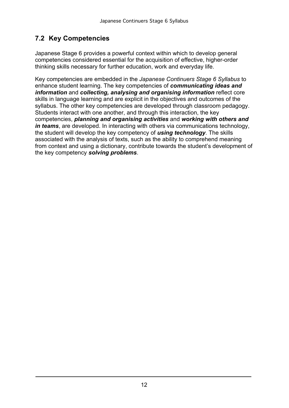# <span id="page-10-0"></span>**7.2 Key Competencies**

Japanese Stage 6 provides a powerful context within which to develop general competencies considered essential for the acquisition of effective, higher-order thinking skills necessary for further education, work and everyday life.

Key competencies are embedded in the *Japanese Continuers Stage 6 Syllabus* to enhance student learning. The key competencies of *communicating ideas and information* and *collecting, analysing and organising information* reflect core skills in language learning and are explicit in the objectives and outcomes of the syllabus. The other key competencies are developed through classroom pedagogy. Students interact with one another, and through this interaction, the key competencies, *planning and organising activities* and *working with others and in teams*, are developed. In interacting with others via communications technology, the student will develop the key competency of *using technology*. The skills associated with the analysis of texts, such as the ability to comprehend meaning from context and using a dictionary, contribute towards the student's development of the key competency *solving problems*.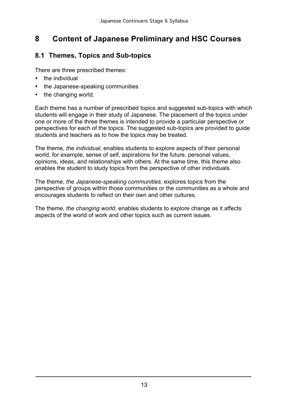# <span id="page-11-0"></span>**8 Content of Japanese Preliminary and HSC Courses**

#### **8.1 Themes, Topics and Sub-topics**

There are three prescribed themes:

- the individual
- the Japanese-speaking communities
- the changing world.

Each theme has a number of prescribed topics and suggested sub-topics with which students will engage in their study of Japanese. The placement of the topics under one or more of the three themes is intended to provide a particular perspective or perspectives for each of the topics. The suggested sub-topics are provided to guide students and teachers as to how the topics may be treated.

The theme, *the individual*, enables students to explore aspects of their personal world, for example, sense of self, aspirations for the future, personal values, opinions, ideas, and relationships with others. At the same time, this theme also enables the student to study topics from the perspective of other individuals.

The theme, *the Japanese-speaking communities*, explores topics from the perspective of groups within those communities or the communities as a whole and encourages students to reflect on their own and other cultures.

The theme, *the changing world*, enables students to explore change as it affects aspects of the world of work and other topics such as current issues.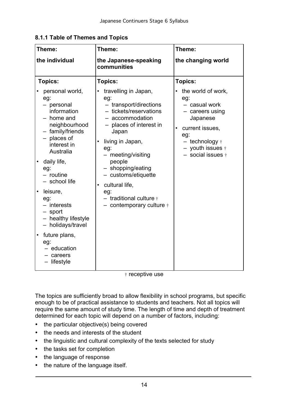| Theme:                                                                                                                                                                                              | Theme:                                                                                                                                                                                                                                                      | Theme:                                                                                                                                                         |
|-----------------------------------------------------------------------------------------------------------------------------------------------------------------------------------------------------|-------------------------------------------------------------------------------------------------------------------------------------------------------------------------------------------------------------------------------------------------------------|----------------------------------------------------------------------------------------------------------------------------------------------------------------|
| the individual                                                                                                                                                                                      | the Japanese-speaking<br>communities                                                                                                                                                                                                                        | the changing world                                                                                                                                             |
| <b>Topics:</b>                                                                                                                                                                                      | <b>Topics:</b>                                                                                                                                                                                                                                              | Topics:                                                                                                                                                        |
| personal world,<br>eg:<br>- personal<br>information<br>home and<br>neighbourhood<br>- family/friends<br>- places of<br>interest in<br>Australia<br>daily life,<br>eg:<br>- routine<br>- school life | travelling in Japan,<br>eg:<br>- transport/directions<br>- tickets/reservations<br>accommodation<br>places of interest in<br>Japan<br>living in Japan,<br>eg:<br>- meeting/visiting<br>people<br>- shopping/eating<br>- customs/etiquette<br>cultural life, | the world of work,<br>eg:<br>- casual work<br>- careers using<br>Japanese<br>current issues,<br>eg:<br>- technology +<br>- youth issues +<br>- social issues + |
| leisure,<br>eg:<br>$-$ interests<br>- sport<br>- healthy lifestyle<br>- holidays/travel                                                                                                             | eg:<br>$-$ traditional culture $\dagger$<br>$-$ contemporary culture $\dagger$                                                                                                                                                                              |                                                                                                                                                                |
| future plans,<br>eg:<br>- education<br>- careers<br>- lifestyle                                                                                                                                     |                                                                                                                                                                                                                                                             |                                                                                                                                                                |

**8.1.1 Table of Themes and Topics** 

† receptive use

The topics are sufficiently broad to allow flexibility in school programs, but specific enough to be of practical assistance to students and teachers. Not all topics will require the same amount of study time. The length of time and depth of treatment determined for each topic will depend on a number of factors, including:

- the particular objective(s) being covered
- the needs and interests of the student
- the linguistic and cultural complexity of the texts selected for study
- the tasks set for completion
- the language of response
- the nature of the language itself.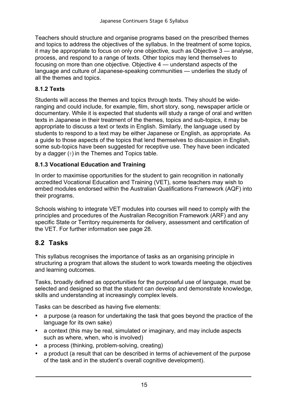<span id="page-13-0"></span>Teachers should structure and organise programs based on the prescribed themes and topics to address the objectives of the syllabus. In the treatment of some topics, it may be appropriate to focus on only one objective*,* such as Objective 3 — analyse, process, and respond to a range of texts. Other topics may lend themselves to focusing on more than one objective*.* Objective 4 — understand aspects of the language and culture of Japanese-speaking communities — underlies the study of all the themes and topics.

#### **8.1.2 Texts**

Students will access the themes and topics through texts. They should be wideranging and could include, for example, film, short story, song, newspaper article or documentary. While it is expected that students will study a range of oral and written texts in Japanese in their treatment of the themes, topics and sub-topics, it may be appropriate to discuss a text or texts in English. Similarly, the language used by students to respond to a text may be either Japanese or English, as appropriate. As a guide to those aspects of the topics that lend themselves to discussion in English, some sub-topics have been suggested for receptive use. They have been indicated by a dagger (†) in the Themes and Topics table.

#### **8.1.3 Vocational Education and Training**

In order to maximise opportunities for the student to gain recognition in nationally accredited Vocational Education and Training (VET), some teachers may wish to embed modules endorsed within the Australian Qualifications Framework (AQF) into their programs.

Schools wishing to integrate VET modules into courses will need to comply with the principles and procedures of the Australian Recognition Framework (ARF) and any specific State or Territory requirements for delivery, assessment and certification of the VET. For further information see page 28.

#### **8.2 Tasks**

This syllabus recognises the importance of tasks as an organising principle in structuring a program that allows the student to work towards meeting the objectives and learning outcomes.

Tasks, broadly defined as opportunities for the purposeful use of language, must be selected and designed so that the student can develop and demonstrate knowledge, skills and understanding at increasingly complex levels.

Tasks can be described as having five elements:

- a purpose (a reason for undertaking the task that goes beyond the practice of the language for its own sake)
- a context (this may be real, simulated or imaginary, and may include aspects such as where, when, who is involved)
- a process (thinking, problem-solving, creating)
- a product (a result that can be described in terms of achievement of the purpose of the task and in the student's overall cognitive development).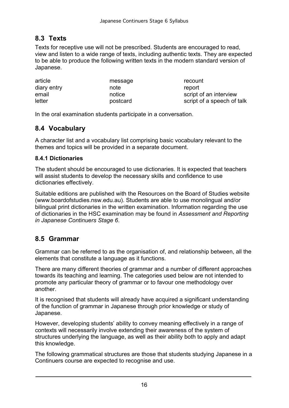### **8.3 Texts**

Texts for receptive use will not be prescribed. Students are encouraged to read, view and listen to a wide range of texts, including authentic texts. They are expected to be able to produce the following written texts in the modern standard version of Japanese.

| article     | message  | recount                    |
|-------------|----------|----------------------------|
| diary entry | note     | report                     |
| email       | notice   | script of an interview     |
| letter      | postcard | script of a speech of talk |

In the oral examination students participate in a conversation.

#### **8.4 Vocabulary**

A character list and a vocabulary list comprising basic vocabulary relevant to the themes and topics will be provided in a separate document.

#### **8.4.1 Dictionaries**

The student should be encouraged to use dictionaries. It is expected that teachers will assist students to develop the necessary skills and confidence to use dictionaries effectively.

Suitable editions are published with the Resources on the Board of Studies website (www.boardofstudies.nsw.edu.au). Students are able to use monolingual and/or bilingual print dictionaries in the written examination. Information regarding the use of dictionaries in the HSC examination may be found in *Assessment and Reporting in Japanese Continuers Stage 6*.

#### **8.5 Grammar**

Grammar can be referred to as the organisation of, and relationship between, all the elements that constitute a language as it functions.

There are many different theories of grammar and a number of different approaches towards its teaching and learning. The categories used below are not intended to promote any particular theory of grammar or to favour one methodology over another.

It is recognised that students will already have acquired a significant understanding of the function of grammar in Japanese through prior knowledge or study of Japanese.

However, developing students' ability to convey meaning effectively in a range of contexts will necessarily involve extending their awareness of the system of structures underlying the language, as well as their ability both to apply and adapt this knowledge.

The following grammatical structures are those that students studying Japanese in a Continuers course are expected to recognise and use.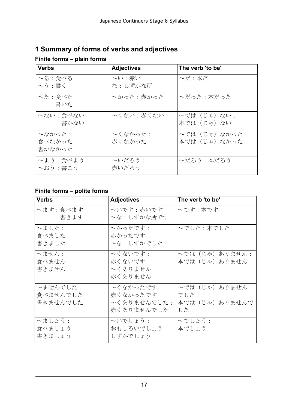| <b>Verbs</b>                | <b>Adjectives</b> | The verb 'to be'                |
|-----------------------------|-------------------|---------------------------------|
| $\sim$ る:食べる<br>$\sim$ う:書く | 〜い:赤い<br>な:しずかな所  | $\sim$ だ:本だ                     |
| ~た:食べた<br>書いた               | ~かった : 赤かった       | ~だった:本だった                       |
| ~ない: 食べない<br>書かない           | 〜くない : 赤くない       | ~では(じゃ)ない:<br>本では (じゃ) ない       |
| ~なかった:<br>食べなかった<br>書かなかった  | ~くなかった:<br>赤くなかった | ~では (じゃ) なかった:<br>本では (じゃ) なかった |
| ~よう:食べよう<br>~おう:書こう         | 〜いだろう:<br>赤いだろう   | ~だろう:本だろう                       |

### **1 Summary of forms of verbs and adjectives**

#### **Finite forms – plain forms**

#### **Finite forms – polite forms**

| <b>Verbs</b>                     | <b>Adjectives</b>                                  | The verb 'to be'                            |
|----------------------------------|----------------------------------------------------|---------------------------------------------|
| ~ます:食べます<br>書きます                 | ~いです : 赤いです<br>~な: しずかな所です                         | ~です:本です                                     |
| $\sim$ ました:<br>食べました<br>書きました    | ~かったです:<br>赤かったです<br>~な:しずかでした                     | ~でした : 本でした                                 |
| $\sim$ ません:<br>食べません<br>書きません    | ~くないです:<br>赤くないです<br>~くありません:<br>赤くありません           | ~では (じゃ) ありません:<br>本では(じゃ)ありません             |
| ~ませんでした:<br>食べませんでした<br>書きませんでした | ~くなかったです:<br>赤くなかったです<br>~くありませんでした:<br>赤くありませんでした | ~では(じゃ)ありません<br>でした:<br>本では(じゃ)ありませんで<br>した |
| ~ましょう:<br>食べましょう<br>書きましょう       | へいでしょう:<br>おもしろいでしょう<br>しずかでしょう                    | ~でしょう:<br>本でしょう                             |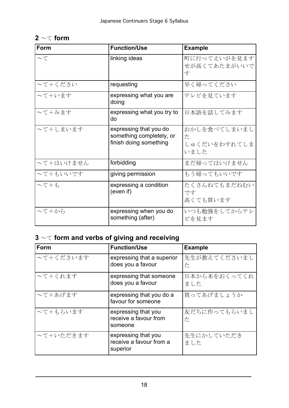| Form                   | <b>Function/Use</b>                                                          | <b>Example</b>                            |
|------------------------|------------------------------------------------------------------------------|-------------------------------------------|
| $\sim$ $\tau$          | linking ideas                                                                | 町に行ってえいがを見ます<br>せが高くてあたまがいいで<br>す         |
| ~て+ください                | requesting                                                                   | 早く帰ってください                                 |
| ~て+います                 | expressing what you are<br>doing                                             | テレビを見ています                                 |
| ~て+みます                 | expressing what you try to<br>do                                             | 日本語を話してみます                                |
| ~て+しまいます               | expressing that you do<br>something completely, or<br>finish doing something | おかしを食べてしまいまし<br>た<br>しゅくだいをわすれてしま<br>いました |
| ~て+はいけません              | forbidding                                                                   | まだ帰ってはいけません                               |
| ~て+もいいです               | giving permission                                                            | もう帰ってもいいです                                |
| $\sim$ $\tau$ + $\phi$ | expressing a condition<br>(even if)                                          | たくさんねてもまだねむい<br>です<br>高くても買います            |
| ~て+から                  | expressing when you do<br>something (after)                                  | いつも勉強をしてからテレ<br>ビを見ます                     |

# **2** ~て **form**

# **3** ~て **form and verbs of giving and receiving**

| <b>Form</b> | <b>Function/Use</b>                                        | <b>Example</b>      |
|-------------|------------------------------------------------------------|---------------------|
| ~て+くださいます   | expressing that a superior<br>does you a favour            | 先生が教えてくださいまし<br>た   |
| ~て+くれます     | expressing that someone<br>does you a favour               | 日本から本をおくってくれ<br>ました |
| ~て+あげます     | expressing that you do a<br>favour for someone             | 買ってあげましょうか          |
| ~て+もらいます    | expressing that you<br>receive a favour from<br>someone    | 友だちに作ってもらいまし<br>た   |
| ~て+いただきます   | expressing that you<br>receive a favour from a<br>superior | 先生にかしていただき<br>ました   |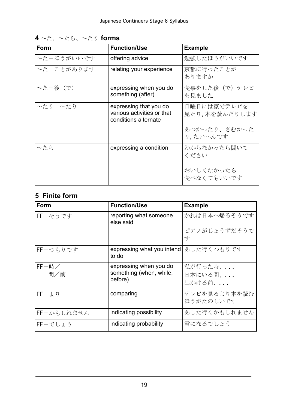| Form                | <b>Function/Use</b>                                                          | <b>Example</b>               |
|---------------------|------------------------------------------------------------------------------|------------------------------|
| ~た+ほうがいいです          | offering advice                                                              | 勉強したほうがいいです                  |
| ~た+ことがあります          | relating your experience                                                     | 京都に行ったことが<br>ありますか           |
| ~た+後 (で)            | expressing when you do<br>something (after)                                  | 食事をした後(で)テレビ<br>を見ました        |
| $\sim$ たり $\sim$ たり | expressing that you do<br>various activities or that<br>conditions alternate | 日曜日には家でテレビを<br>見たり,本を読んだりします |
|                     |                                                                              | あつかったり、さむかった<br>り、たいへんです     |
| ~たら                 | expressing a condition                                                       | わからなかったら聞いて<br>ください          |
|                     |                                                                              | おいしくなかったら<br>食べなくてもいいです      |

**4** ~た、~たら、~たり **forms** 

# **5 Finite form**

| Form       | <b>Function/Use</b>                              | <b>Example</b> |
|------------|--------------------------------------------------|----------------|
| FF+そうです    | reporting what someone<br>else said              | かれは日本へ帰るそうです   |
|            |                                                  | ピアノがじょうずだそうで   |
|            |                                                  | す              |
| FF+つもりです   | expressing what you intend   あした行くつもりです<br>to do |                |
| $FF + $ 時  | expressing when you do                           | 私が行った時、        |
| 間/前        | something (when, while,<br>before)               | 日本にいる間、        |
|            |                                                  | 出かける前、         |
| $FF + L$   | comparing                                        | テレビを見るより本を読む   |
|            |                                                  | ほうがたのしいです      |
| FF+かもしれません | indicating possibility                           | あした行くかもしれません   |
| FF+でしょう    | indicating probability                           | 雪になるでしょう       |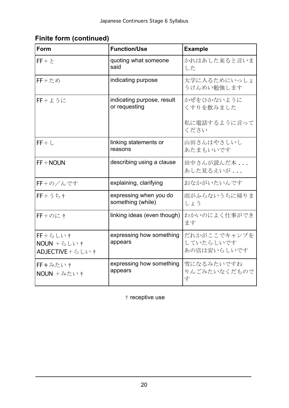# **Finite form (continued)**

| Form                                             | <b>Function/Use</b>                         | <b>Example</b>                           |
|--------------------------------------------------|---------------------------------------------|------------------------------------------|
| $FF + E$                                         | quoting what someone<br>said                | かれはあした来ると言いま<br>した                       |
| $FF + \approx \&$                                | indicating purpose                          | 大学に入るためにいっしょ<br>うけんめい勉強します               |
| $FF + L 5K$                                      | indicating purpose, result<br>or requesting | かぜをひかないように<br>くすりを飲みました                  |
|                                                  |                                             | 私に電話するように言って<br>ください                     |
| $FF+L$                                           | linking statements or<br>reasons            | 山田さんはやさしいし<br>あたまもいいです                   |
| $FF + NOUN$                                      | describing using a clause                   | 田中さんが読んだ本<br>あした見るえいが                    |
| FF+の/んです                                         | explaining, clarifying                      | おなかがいたいんです                               |
| $FF + 55t$                                       | expressing when you do<br>something (while) | 雨がふらないうちに帰りま<br>しょう                      |
| $FF + \mathcal{O}$ に†                            | linking ideas (even though)                 | わかいのによく仕事ができ<br>ます                       |
| $FF + 6U +$<br>$NOUN + 6 UN +$<br>ADJECTIVE+らしい† | expressing how something<br>appears         | だれかがここでキャンプを<br>していたらしいです<br>あの店は安いらしいです |
| FF+みたい†<br>NOUN +みたい†                            | expressing how something<br>appears         | 雪になるみたいですね<br>りんごみたいなくだもので<br>す          |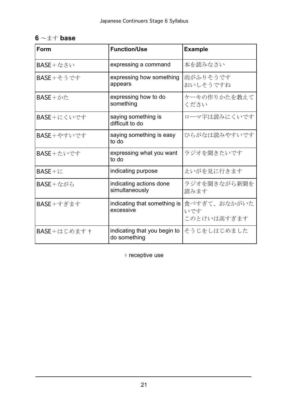| $6 \sim \pm \downarrow$ base |  |
|------------------------------|--|
|------------------------------|--|

| Form                        | <b>Function/Use</b>                          | <b>Example</b>                     |
|-----------------------------|----------------------------------------------|------------------------------------|
| <b>BASE+なさい</b>             | expressing a command                         | 本を読みなさい                            |
| $BASE+$ そうです                | expressing how something<br>appears          | 雨がふりそうです<br>おいしそうですね               |
| $BASE + \nleftrightarrow E$ | expressing how to do<br>something            | ケーキの作りかたを教えて<br>ください               |
| BASE+にくいです                  | saying something is<br>difficult to do       | ローマ字は読みにくいです                       |
| $BASE +$ やすいです              | saying something is easy<br>to do            | ひらがなは読みやすいです                       |
| BASE+たいです                   | expressing what you want<br>to do            | ラジオを聞きたいです                         |
| $BASE+i$                    | indicating purpose                           | えいがを見に行きます                         |
| <b>BASE+ながら</b>             | indicating actions done<br>simultaneously    | ラジオを聞きながら新聞を<br>読みます               |
| $BASE + f$ ぎます              | indicating that something is<br>excessive    | 食べすぎて、おなかがいた<br>いです<br>このとけいは高すぎます |
| BASE+はじめます†                 | indicating that you begin to<br>do something | そうじをしはじめました                        |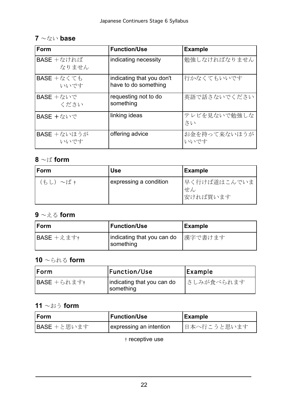| $7 \sim k$ い base |  |
|-------------------|--|
|-------------------|--|

| Form                         | <b>Function/Use</b>                               | <b>Example</b>       |
|------------------------------|---------------------------------------------------|----------------------|
| $BASE + \kappa$ ければ<br>なりません | indicating necessity                              | 勉強しなければなりません         |
| <b>BASE</b> $+$ なくても<br>いいです | indicating that you don't<br>have to do something | 行かなくてもいいです           |
| <b>BASE</b> +ないで<br>ください     | requesting not to do<br>something                 | 英語で話さないでください         |
| BASE +ないで                    | linking ideas                                     | テレビを見ないで勉強しな<br>さい   |
| <b>BASE</b> +ないほうが<br>いいです   | offering advice                                   | お金を持って来ないほうが<br>いいです |

# **8** ~ば **form**

| Form    | <b>Use</b>             | Example                         |
|---------|------------------------|---------------------------------|
| (もし)~ば† | expressing a condition | 早く行けば道はこんでいま<br>せん<br> 安ければ買います |

#### **9** ~える **form**

| Form       | <b>Function/Use</b>                     | <b>Example</b> |
|------------|-----------------------------------------|----------------|
| BASE +えます† | indicating that you can do<br>something | 漢字で書けます        |

### **10** ~られる **form**

| <b>IForm</b> | <b>Function/Use</b>                     | <b>Example</b> |
|--------------|-----------------------------------------|----------------|
| BASE +られます†  | indicating that you can do<br>something | さしみが食べられます     |

#### **11** ~おう **form**

| <b>IForm</b> | <b>Function/Use</b>     | <b>Example</b> |
|--------------|-------------------------|----------------|
| BASE +と思います  | expressing an intention | 日本へ行こうと思います    |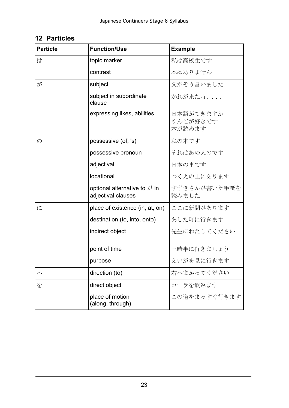| <b>Particle</b> | <b>Function/Use</b>                                                   | <b>Example</b>                  |
|-----------------|-----------------------------------------------------------------------|---------------------------------|
| は               | topic marker                                                          | 私は高校生です                         |
|                 | contrast                                                              | 本はありません                         |
| が               | subject                                                               | 父がそう言いました                       |
|                 | subject in subordinate<br>clause                                      | かれが来た時、                         |
|                 | expressing likes, abilities                                           | 日本語ができますか<br>りんごが好きです<br>本が読めます |
| $\mathcal{O}$   | possessive (of, 's)                                                   | 私の本です                           |
|                 | possessive pronoun                                                    | それはあの人のです                       |
|                 | adjectival                                                            | 日本の車です                          |
|                 | locational                                                            | つくえの上にあります                      |
|                 | optional alternative to $\beta$ <sup>3</sup> in<br>adjectival clauses | すずきさんが書いた手紙を<br>読みました           |
| に               | place of existence (in, at, on)                                       | ここに新聞があります                      |
|                 | destination (to, into, onto)                                          | あした町に行きます                       |
|                 | indirect object                                                       | 先生にわたしてください                     |
|                 | point of time                                                         | 三時半に行きましょう                      |
|                 | purpose                                                               | えいがを見に行きます                      |
|                 | direction (to)                                                        | 右へまがってください                      |
| を               | direct object                                                         | コーラを飲みます                        |
|                 | place of motion<br>(along, through)                                   | この道をまっすぐ行きます                    |

### **12 Particles**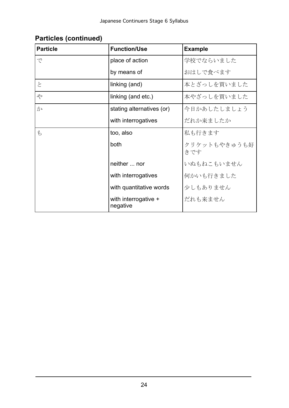| <b>Particle</b> | <b>Function/Use</b>              | <b>Example</b>      |
|-----------------|----------------------------------|---------------------|
| で               | place of action                  | 学校でならいました           |
|                 | by means of                      | おはしで食べます            |
| と               | linking (and)                    | 本とざっしを買いました         |
| &               | linking (and etc.)               | 本やざっしを買いました         |
| か               | stating alternatives (or)        | 今日かあしたしましょう         |
|                 | with interrogatives              | だれか来ましたか            |
| $\mathfrak{F}$  | too, also                        | 私も行きます              |
|                 | both                             | クリケットもやきゅうも好<br>きです |
|                 | neither  nor                     | いぬもねこもいません          |
|                 | with interrogatives              | 何かいも行きました           |
|                 | with quantitative words          | 少しもありません            |
|                 | with interrogative +<br>negative | だれも来ません             |

# **Particles (continued)**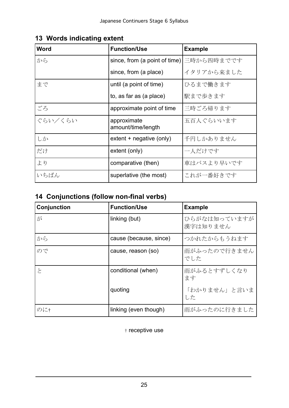| <b>Word</b> | <b>Function/Use</b>               | <b>Example</b> |
|-------------|-----------------------------------|----------------|
| から          | since, from (a point of time)     | 三時から四時までです     |
|             | since, from (a place)             | イタリアから来ました     |
| まで          | until (a point of time)           | ひるまで働きます       |
|             | to, as far as (a place)           | 駅まで歩きます        |
| ごろ          | approximate point of time         | 三時ごろ帰ります       |
| ぐらい/くらい     | approximate<br>amount/time/length | 五百人ぐらいいます      |
| しか          | extent + negative (only)          | 千円しかありません      |
| だけ          | extent (only)                     | 一人だけです         |
| より          | comparative (then)                | 車はバスより早いです     |
| いちばん        | superlative (the most)            | これが一番好きです      |

#### **13 Words indicating extent**

# **14 Conjunctions (follow non-final verbs)**

| Conjunction | <b>Function/Use</b>    | <b>Example</b>           |
|-------------|------------------------|--------------------------|
| が           | linking (but)          | ひらがなは知っていますが<br>漢字は知りません |
| から          | cause (because, since) | つかれたからもうねます              |
| ので          | cause, reason (so)     | 雨がふったので行きません<br>でした      |
| と           | conditional (when)     | 雨がふるとすずしくなり<br>ます        |
|             | quoting                | 「わかりません」と言いま<br>した       |
| のに†         | linking (even though)  | 雨がふったのに行きました             |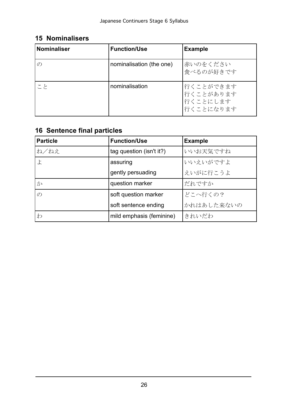| <b>Nominaliser</b> | <b>Function/Use</b>      | <b>Example</b>                                  |
|--------------------|--------------------------|-------------------------------------------------|
| $\sigma$           | nominalisation (the one) | 赤いのをください<br>食べるのが好きです                           |
| こと                 | nominalisation           | 行くことができます<br>行くことがあります<br>行くことにします<br>行くことになります |

## **15 Nominalisers**

# **16 Sentence final particles**

| <b>Particle</b> | <b>Function/Use</b>      | <b>Example</b> |
|-----------------|--------------------------|----------------|
| ね/ねえ            | tag question (isn't it?) | いいお天気ですね       |
| よ               | assuring                 | いいえいがですよ       |
|                 | gently persuading        | えいがに行こうよ       |
| か               | question marker          | だれですか          |
| $\mathcal{O}$   | soft question marker     | どこへ行くの?        |
|                 | soft sentence ending     | かれはあした来ないの     |
| わ               | mild emphasis (feminine) | きれいだわ          |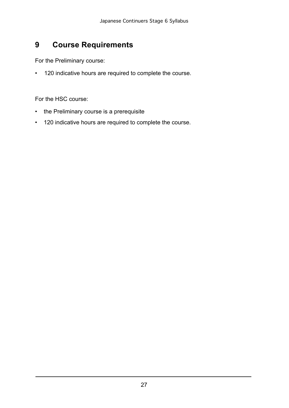#### <span id="page-25-0"></span>**9 Course Requirements**

For the Preliminary course:

• 120 indicative hours are required to complete the course.

For the HSC course:

- the Preliminary course is a prerequisite
- 120 indicative hours are required to complete the course.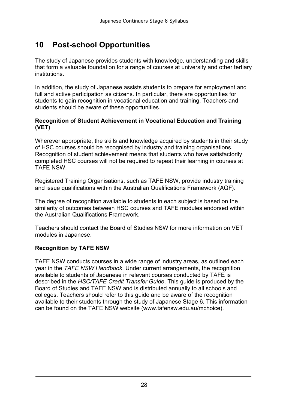# <span id="page-26-0"></span>**10 Post-school Opportunities**

The study of Japanese provides students with knowledge, understanding and skills that form a valuable foundation for a range of courses at university and other tertiary institutions.

In addition, the study of Japanese assists students to prepare for employment and full and active participation as citizens. In particular, there are opportunities for students to gain recognition in vocational education and training. Teachers and students should be aware of these opportunities.

#### **Recognition of Student Achievement in Vocational Education and Training (VET)**

Wherever appropriate, the skills and knowledge acquired by students in their study of HSC courses should be recognised by industry and training organisations. Recognition of student achievement means that students who have satisfactorily completed HSC courses will not be required to repeat their learning in courses at TAFE NSW.

Registered Training Organisations, such as TAFE NSW, provide industry training and issue qualifications within the Australian Qualifications Framework (AQF).

The degree of recognition available to students in each subject is based on the similarity of outcomes between HSC courses and TAFE modules endorsed within the Australian Qualifications Framework.

Teachers should contact the Board of Studies NSW for more information on VET modules in Japanese.

#### **Recognition by TAFE NSW**

TAFE NSW conducts courses in a wide range of industry areas, as outlined each year in the *TAFE NSW Handbook*. Under current arrangements, the recognition available to students of Japanese in relevant courses conducted by TAFE is described in the *HSC/TAFE Credit Transfer Guide*. This guide is produced by the Board of Studies and TAFE NSW and is distributed annually to all schools and colleges. Teachers should refer to this guide and be aware of the recognition available to their students through the study of Japanese Stage 6. This information can be found on the TAFE NSW website (www.tafensw.edu.au/mchoice).